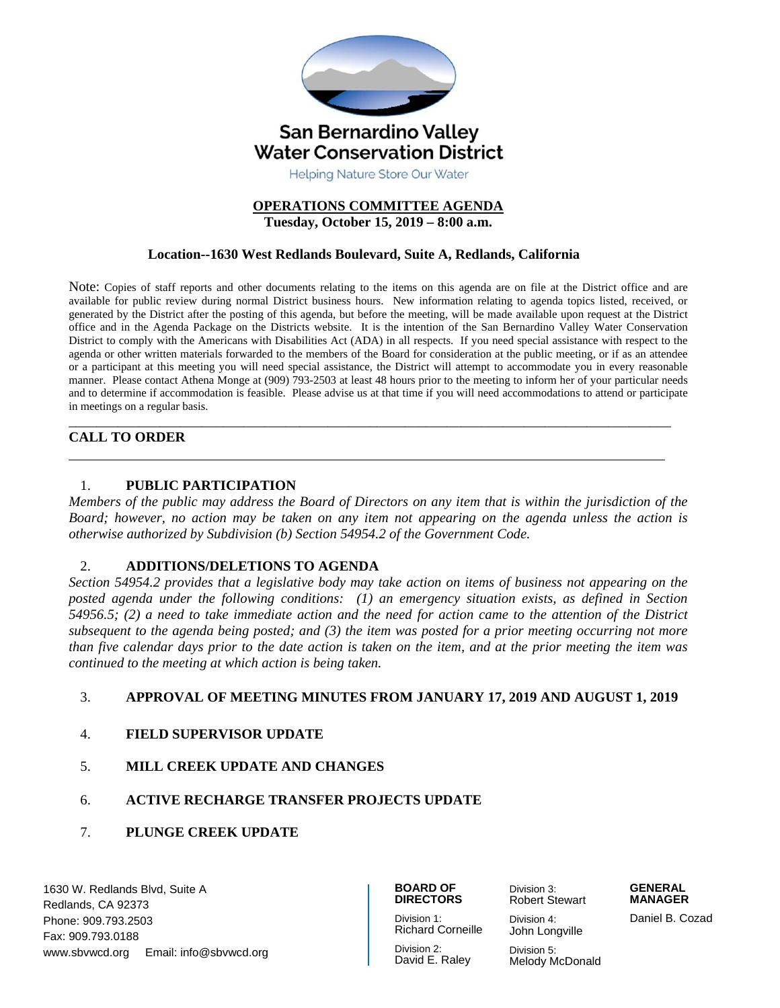

# **OPERATIONS COMMITTEE AGENDA**

**Tuesday, October 15, 2019 – 8:00 a.m.** 

#### **Location--1630 West Redlands Boulevard, Suite A, Redlands, California**

Note: Copies of staff reports and other documents relating to the items on this agenda are on file at the District office and are available for public review during normal District business hours. New information relating to agenda topics listed, received, or generated by the District after the posting of this agenda, but before the meeting, will be made available upon request at the District office and in the Agenda Package on the Districts website. It is the intention of the San Bernardino Valley Water Conservation District to comply with the Americans with Disabilities Act (ADA) in all respects. If you need special assistance with respect to the agenda or other written materials forwarded to the members of the Board for consideration at the public meeting, or if as an attendee or a participant at this meeting you will need special assistance, the District will attempt to accommodate you in every reasonable manner. Please contact Athena Monge at (909) 793-2503 at least 48 hours prior to the meeting to inform her of your particular needs and to determine if accommodation is feasible. Please advise us at that time if you will need accommodations to attend or participate in meetings on a regular basis.

#### \_\_\_\_\_\_\_\_\_\_\_\_\_\_\_\_\_\_\_\_\_\_\_\_\_\_\_\_\_\_\_\_\_\_\_\_\_\_\_\_\_\_\_\_\_\_\_\_\_\_\_\_\_\_\_\_\_\_\_\_\_\_\_\_\_\_\_\_\_\_\_\_\_\_\_\_\_\_\_\_\_\_\_\_\_\_ **CALL TO ORDER**

#### 1. **PUBLIC PARTICIPATION**

*Members of the public may address the Board of Directors on any item that is within the jurisdiction of the Board; however, no action may be taken on any item not appearing on the agenda unless the action is otherwise authorized by Subdivision (b) Section 54954.2 of the Government Code.* 

#### 2. **ADDITIONS/DELETIONS TO AGENDA**

*Section 54954.2 provides that a legislative body may take action on items of business not appearing on the posted agenda under the following conditions: (1) an emergency situation exists, as defined in Section 54956.5; (2) a need to take immediate action and the need for action came to the attention of the District subsequent to the agenda being posted; and (3) the item was posted for a prior meeting occurring not more than five calendar days prior to the date action is taken on the item, and at the prior meeting the item was continued to the meeting at which action is being taken.* 

#### 3. **APPROVAL OF MEETING MINUTES FROM JANUARY 17, 2019 AND AUGUST 1, 2019**

- 4. **FIELD SUPERVISOR UPDATE**
- 5. **MILL CREEK UPDATE AND CHANGES**
- 6. **ACTIVE RECHARGE TRANSFER PROJECTS UPDATE**
- 7. **PLUNGE CREEK UPDATE**

1630 W. Redlands Blvd, Suite A Redlands, CA 92373 Phone: 909.793.2503 Fax: 909.793.0188 www.sbvwcd.org Email: info@sbvwcd.org

#### **BOARD OF DIRECTORS**

Division 1:

Division 3:

John Longville

Robert Stewart

Division 4:

**MANAGER** 

Richard Corneille Division 2: David E. Raley

Division 5: Melody McDonald Daniel B. Cozad

**GENERAL**